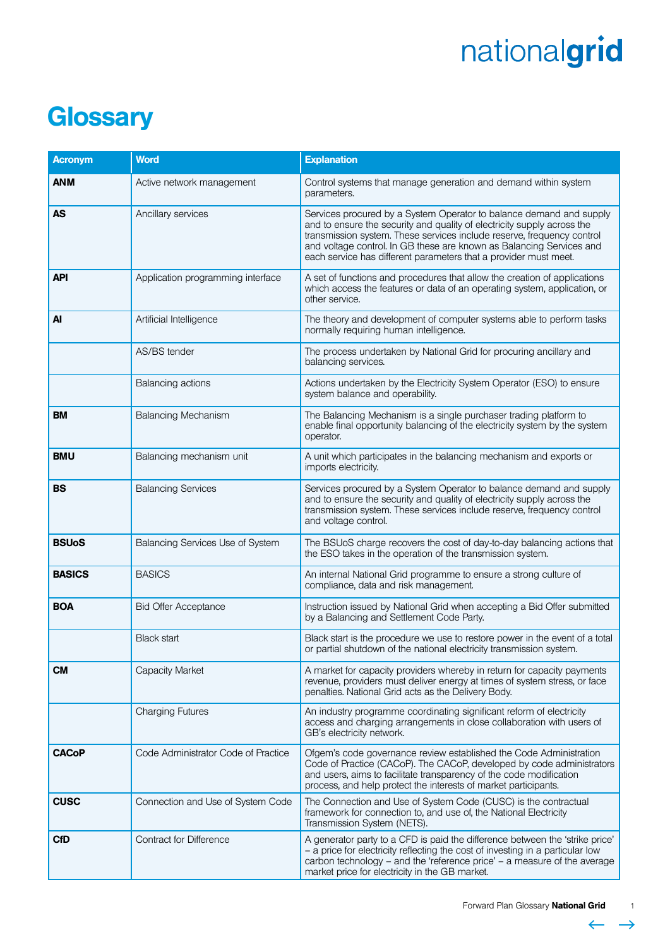#### **Glossary**

| <b>Acronym</b> | <b>Word</b>                         | <b>Explanation</b>                                                                                                                                                                                                                                                                                                                                                   |
|----------------|-------------------------------------|----------------------------------------------------------------------------------------------------------------------------------------------------------------------------------------------------------------------------------------------------------------------------------------------------------------------------------------------------------------------|
| <b>ANM</b>     | Active network management           | Control systems that manage generation and demand within system<br>parameters.                                                                                                                                                                                                                                                                                       |
| <b>AS</b>      | Ancillary services                  | Services procured by a System Operator to balance demand and supply<br>and to ensure the security and quality of electricity supply across the<br>transmission system. These services include reserve, frequency control<br>and voltage control. In GB these are known as Balancing Services and<br>each service has different parameters that a provider must meet. |
| <b>API</b>     | Application programming interface   | A set of functions and procedures that allow the creation of applications<br>which access the features or data of an operating system, application, or<br>other service.                                                                                                                                                                                             |
| Al             | Artificial Intelligence             | The theory and development of computer systems able to perform tasks<br>normally requiring human intelligence.                                                                                                                                                                                                                                                       |
|                | AS/BS tender                        | The process undertaken by National Grid for procuring ancillary and<br>balancing services.                                                                                                                                                                                                                                                                           |
|                | Balancing actions                   | Actions undertaken by the Electricity System Operator (ESO) to ensure<br>system balance and operability.                                                                                                                                                                                                                                                             |
| <b>BM</b>      | <b>Balancing Mechanism</b>          | The Balancing Mechanism is a single purchaser trading platform to<br>enable final opportunity balancing of the electricity system by the system<br>operator.                                                                                                                                                                                                         |
| <b>BMU</b>     | Balancing mechanism unit            | A unit which participates in the balancing mechanism and exports or<br>imports electricity.                                                                                                                                                                                                                                                                          |
| BS             | <b>Balancing Services</b>           | Services procured by a System Operator to balance demand and supply<br>and to ensure the security and quality of electricity supply across the<br>transmission system. These services include reserve, frequency control<br>and voltage control.                                                                                                                     |
| <b>BSUoS</b>   | Balancing Services Use of System    | The BSUoS charge recovers the cost of day-to-day balancing actions that<br>the ESO takes in the operation of the transmission system.                                                                                                                                                                                                                                |
| <b>BASICS</b>  | <b>BASICS</b>                       | An internal National Grid programme to ensure a strong culture of<br>compliance, data and risk management.                                                                                                                                                                                                                                                           |
| <b>BOA</b>     | <b>Bid Offer Acceptance</b>         | Instruction issued by National Grid when accepting a Bid Offer submitted<br>by a Balancing and Settlement Code Party.                                                                                                                                                                                                                                                |
|                | <b>Black start</b>                  | Black start is the procedure we use to restore power in the event of a total<br>or partial shutdown of the national electricity transmission system.                                                                                                                                                                                                                 |
| <b>CM</b>      | <b>Capacity Market</b>              | A market for capacity providers whereby in return for capacity payments<br>revenue, providers must deliver energy at times of system stress, or face<br>penalties. National Grid acts as the Delivery Body.                                                                                                                                                          |
|                | <b>Charging Futures</b>             | An industry programme coordinating significant reform of electricity<br>access and charging arrangements in close collaboration with users of<br>GB's electricity network.                                                                                                                                                                                           |
| <b>CACoP</b>   | Code Administrator Code of Practice | Ofgem's code governance review established the Code Administration<br>Code of Practice (CACoP). The CACoP, developed by code administrators<br>and users, aims to facilitate transparency of the code modification<br>process, and help protect the interests of market participants.                                                                                |
| <b>CUSC</b>    | Connection and Use of System Code   | The Connection and Use of System Code (CUSC) is the contractual<br>framework for connection to, and use of, the National Electricity<br>Transmission System (NETS).                                                                                                                                                                                                  |
| <b>CfD</b>     | <b>Contract for Difference</b>      | A generator party to a CFD is paid the difference between the 'strike price'<br>- a price for electricity reflecting the cost of investing in a particular low<br>carbon technology – and the 'reference price' – a measure of the average<br>market price for electricity in the GB market.                                                                         |

 $\leftarrow \rightarrow$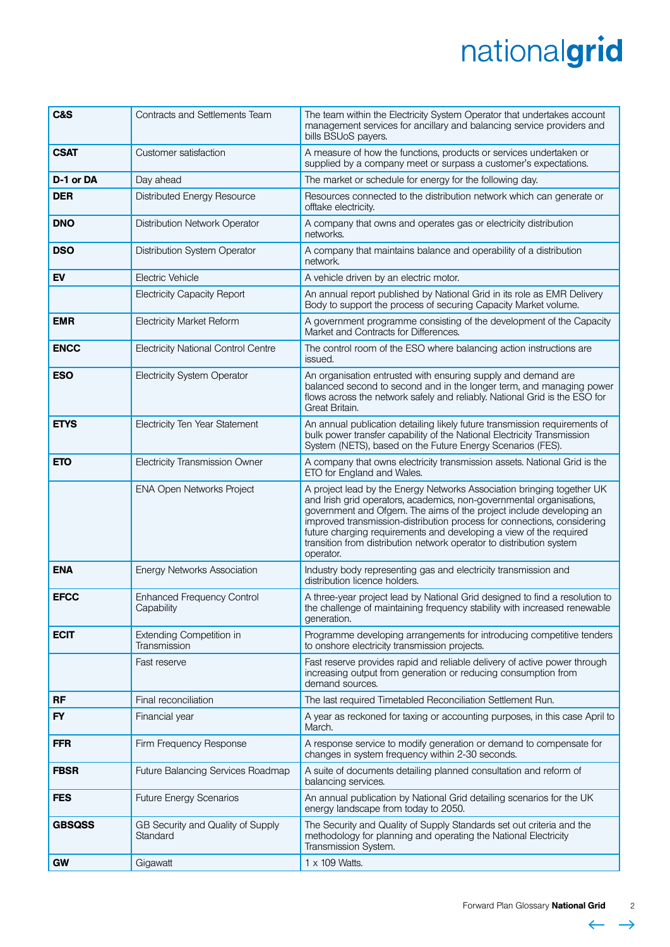| C&S           | Contracts and Settlements Team                  | The team within the Electricity System Operator that undertakes account<br>management services for ancillary and balancing service providers and<br>bills BSUoS payers.                                                                                                                                                                                                                                                                                     |
|---------------|-------------------------------------------------|-------------------------------------------------------------------------------------------------------------------------------------------------------------------------------------------------------------------------------------------------------------------------------------------------------------------------------------------------------------------------------------------------------------------------------------------------------------|
| <b>CSAT</b>   | Customer satisfaction                           | A measure of how the functions, products or services undertaken or<br>supplied by a company meet or surpass a customer's expectations.                                                                                                                                                                                                                                                                                                                      |
| D-1 or DA     | Day ahead                                       | The market or schedule for energy for the following day.                                                                                                                                                                                                                                                                                                                                                                                                    |
| <b>DER</b>    | Distributed Energy Resource                     | Resources connected to the distribution network which can generate or<br>offtake electricity.                                                                                                                                                                                                                                                                                                                                                               |
| <b>DNO</b>    | Distribution Network Operator                   | A company that owns and operates gas or electricity distribution<br>networks.                                                                                                                                                                                                                                                                                                                                                                               |
| <b>DSO</b>    | Distribution System Operator                    | A company that maintains balance and operability of a distribution<br>network.                                                                                                                                                                                                                                                                                                                                                                              |
| EV            | Electric Vehicle                                | A vehicle driven by an electric motor.                                                                                                                                                                                                                                                                                                                                                                                                                      |
|               | <b>Electricity Capacity Report</b>              | An annual report published by National Grid in its role as EMR Delivery<br>Body to support the process of securing Capacity Market volume.                                                                                                                                                                                                                                                                                                                  |
| <b>EMR</b>    | <b>Electricity Market Reform</b>                | A government programme consisting of the development of the Capacity<br>Market and Contracts for Differences.                                                                                                                                                                                                                                                                                                                                               |
| <b>ENCC</b>   | <b>Electricity National Control Centre</b>      | The control room of the ESO where balancing action instructions are<br>issued.                                                                                                                                                                                                                                                                                                                                                                              |
| <b>ESO</b>    | <b>Electricity System Operator</b>              | An organisation entrusted with ensuring supply and demand are<br>balanced second to second and in the longer term, and managing power<br>flows across the network safely and reliably. National Grid is the ESO for<br>Great Britain.                                                                                                                                                                                                                       |
| <b>ETYS</b>   | Electricity Ten Year Statement                  | An annual publication detailing likely future transmission requirements of<br>bulk power transfer capability of the National Electricity Transmission<br>System (NETS), based on the Future Energy Scenarios (FES).                                                                                                                                                                                                                                         |
| <b>ETO</b>    | <b>Electricity Transmission Owner</b>           | A company that owns electricity transmission assets. National Grid is the<br>ETO for England and Wales.                                                                                                                                                                                                                                                                                                                                                     |
|               | ENA Open Networks Project                       | A project lead by the Energy Networks Association bringing together UK<br>and Irish grid operators, academics, non-governmental organisations,<br>government and Ofgem. The aims of the project include developing an<br>improved transmission-distribution process for connections, considering<br>future charging requirements and developing a view of the required<br>transition from distribution network operator to distribution system<br>operator. |
| <b>ENA</b>    | <b>Energy Networks Association</b>              | Industry body representing gas and electricity transmission and<br>distribution licence holders.                                                                                                                                                                                                                                                                                                                                                            |
| <b>EFCC</b>   | <b>Enhanced Frequency Control</b><br>Capability | A three-year project lead by National Grid designed to find a resolution to<br>the challenge of maintaining frequency stability with increased renewable<br>generation.                                                                                                                                                                                                                                                                                     |
| <b>ECIT</b>   | <b>Extending Competition in</b><br>Transmission | Programme developing arrangements for introducing competitive tenders<br>to onshore electricity transmission projects.                                                                                                                                                                                                                                                                                                                                      |
|               | Fast reserve                                    | Fast reserve provides rapid and reliable delivery of active power through<br>increasing output from generation or reducing consumption from<br>demand sources.                                                                                                                                                                                                                                                                                              |
| <b>RF</b>     | Final reconciliation                            | The last required Timetabled Reconciliation Settlement Run.                                                                                                                                                                                                                                                                                                                                                                                                 |
| <b>FY</b>     | Financial year                                  | A year as reckoned for taxing or accounting purposes, in this case April to<br>March.                                                                                                                                                                                                                                                                                                                                                                       |
| <b>FFR</b>    | Firm Frequency Response                         | A response service to modify generation or demand to compensate for<br>changes in system frequency within 2-30 seconds.                                                                                                                                                                                                                                                                                                                                     |
| <b>FBSR</b>   | Future Balancing Services Roadmap               | A suite of documents detailing planned consultation and reform of<br>balancing services.                                                                                                                                                                                                                                                                                                                                                                    |
| <b>FES</b>    | <b>Future Energy Scenarios</b>                  | An annual publication by National Grid detailing scenarios for the UK<br>energy landscape from today to 2050.                                                                                                                                                                                                                                                                                                                                               |
| <b>GBSQSS</b> | GB Security and Quality of Supply<br>Standard   | The Security and Quality of Supply Standards set out criteria and the<br>methodology for planning and operating the National Electricity<br>Transmission System.                                                                                                                                                                                                                                                                                            |
| <b>GW</b>     | Gigawatt                                        | $1 \times 109$ Watts.                                                                                                                                                                                                                                                                                                                                                                                                                                       |



 $\leftarrow$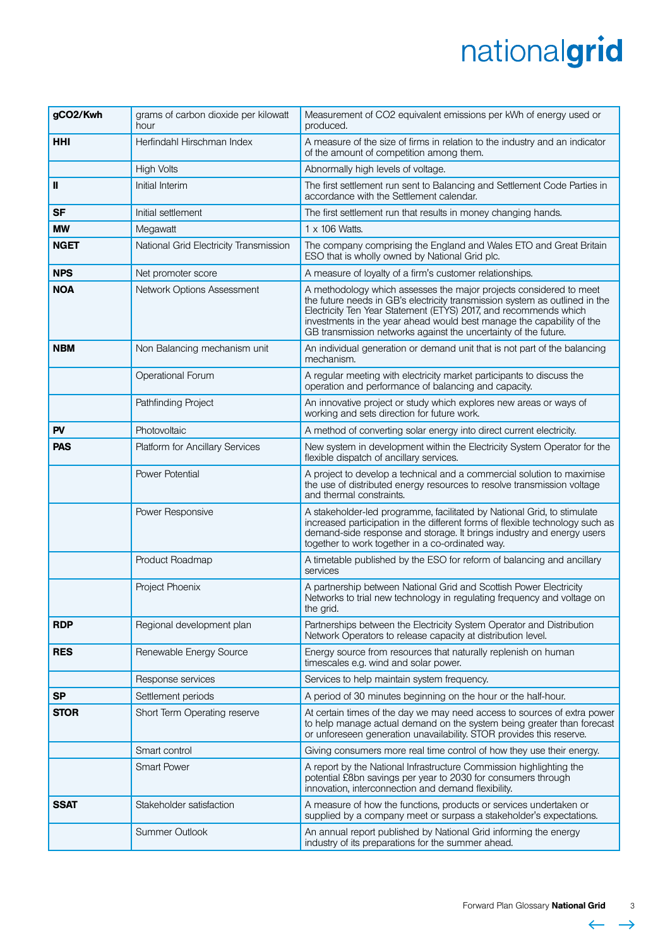| gCO2/Kwh    | grams of carbon dioxide per kilowatt<br>hour | Measurement of CO2 equivalent emissions per kWh of energy used or<br>produced.                                                                                                                                                                                                                                                                                    |
|-------------|----------------------------------------------|-------------------------------------------------------------------------------------------------------------------------------------------------------------------------------------------------------------------------------------------------------------------------------------------------------------------------------------------------------------------|
| <b>HHI</b>  | Herfindahl Hirschman Index                   | A measure of the size of firms in relation to the industry and an indicator<br>of the amount of competition among them.                                                                                                                                                                                                                                           |
|             | <b>High Volts</b>                            | Abnormally high levels of voltage.                                                                                                                                                                                                                                                                                                                                |
| Ш           | Initial Interim                              | The first settlement run sent to Balancing and Settlement Code Parties in<br>accordance with the Settlement calendar.                                                                                                                                                                                                                                             |
| <b>SF</b>   | Initial settlement                           | The first settlement run that results in money changing hands.                                                                                                                                                                                                                                                                                                    |
| <b>MW</b>   | Megawatt                                     | $1 \times 106$ Watts.                                                                                                                                                                                                                                                                                                                                             |
| <b>NGET</b> | National Grid Electricity Transmission       | The company comprising the England and Wales ETO and Great Britain<br>ESO that is wholly owned by National Grid plc.                                                                                                                                                                                                                                              |
| <b>NPS</b>  | Net promoter score                           | A measure of loyalty of a firm's customer relationships.                                                                                                                                                                                                                                                                                                          |
| <b>NOA</b>  | Network Options Assessment                   | A methodology which assesses the major projects considered to meet<br>the future needs in GB's electricity transmission system as outlined in the<br>Electricity Ten Year Statement (ETYS) 2017, and recommends which<br>investments in the year ahead would best manage the capability of the<br>GB transmission networks against the uncertainty of the future. |
| <b>NBM</b>  | Non Balancing mechanism unit                 | An individual generation or demand unit that is not part of the balancing<br>mechanism.                                                                                                                                                                                                                                                                           |
|             | Operational Forum                            | A regular meeting with electricity market participants to discuss the<br>operation and performance of balancing and capacity.                                                                                                                                                                                                                                     |
|             | Pathfinding Project                          | An innovative project or study which explores new areas or ways of<br>working and sets direction for future work.                                                                                                                                                                                                                                                 |
| PV          | Photovoltaic                                 | A method of converting solar energy into direct current electricity.                                                                                                                                                                                                                                                                                              |
| <b>PAS</b>  | <b>Platform for Ancillary Services</b>       | New system in development within the Electricity System Operator for the<br>flexible dispatch of ancillary services.                                                                                                                                                                                                                                              |
|             | Power Potential                              | A project to develop a technical and a commercial solution to maximise<br>the use of distributed energy resources to resolve transmission voltage<br>and thermal constraints.                                                                                                                                                                                     |
|             | Power Responsive                             | A stakeholder-led programme, facilitated by National Grid, to stimulate<br>increased participation in the different forms of flexible technology such as<br>demand-side response and storage. It brings industry and energy users<br>together to work together in a co-ordinated way.                                                                             |
|             | Product Roadmap                              | A timetable published by the ESO for reform of balancing and ancillary<br>services                                                                                                                                                                                                                                                                                |
|             | Project Phoenix                              | A partnership between National Grid and Scottish Power Electricity<br>Networks to trial new technology in regulating frequency and voltage on<br>the grid.                                                                                                                                                                                                        |
| <b>RDP</b>  | Regional development plan                    | Partnerships between the Electricity System Operator and Distribution<br>Network Operators to release capacity at distribution level.                                                                                                                                                                                                                             |
| <b>RES</b>  | Renewable Energy Source                      | Energy source from resources that naturally replenish on human<br>timescales e.g. wind and solar power.                                                                                                                                                                                                                                                           |
|             | Response services                            | Services to help maintain system frequency.                                                                                                                                                                                                                                                                                                                       |
| <b>SP</b>   | Settlement periods                           | A period of 30 minutes beginning on the hour or the half-hour.                                                                                                                                                                                                                                                                                                    |
| <b>STOR</b> | Short Term Operating reserve                 | At certain times of the day we may need access to sources of extra power<br>to help manage actual demand on the system being greater than forecast<br>or unforeseen generation unavailability. STOR provides this reserve.                                                                                                                                        |
|             | Smart control                                | Giving consumers more real time control of how they use their energy.                                                                                                                                                                                                                                                                                             |
|             | <b>Smart Power</b>                           | A report by the National Infrastructure Commission highlighting the<br>potential £8bn savings per year to 2030 for consumers through<br>innovation, interconnection and demand flexibility.                                                                                                                                                                       |
| <b>SSAT</b> | Stakeholder satisfaction                     | A measure of how the functions, products or services undertaken or<br>supplied by a company meet or surpass a stakeholder's expectations.                                                                                                                                                                                                                         |
|             | <b>Summer Outlook</b>                        | An annual report published by National Grid informing the energy<br>industry of its preparations for the summer ahead.                                                                                                                                                                                                                                            |

 $\leftarrow$ L.